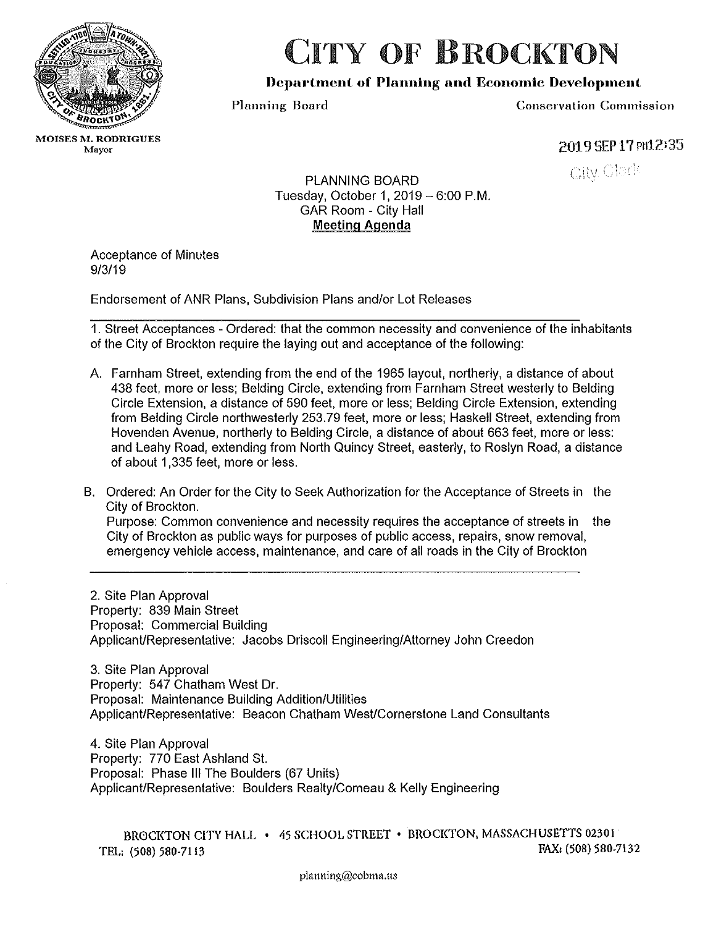

## CITY OF BROCKTON

## Department of Planning and Economic Development

Planning Board Conservation Commission

**MOISES M. RODRIGUES**<br>Mayor

2019 SEP 17 Pn12:35

**City Clerk** 

PLANNING BOARD Tuesday, October 1,  $2019 - 6:00$  P.M. GAR Room - City Hall Meetinq Agenda

Acceptance of Minutes 9/3/19

Endorsement of ANR Plans, Subdivision Plans and/or Lot Releases

1. Street Acceptances - Ordered: that the common necessity and convenience of the inhabitants of the City of Brockton require the laying out and acceptance of the following:

- A. Farnham Street, extending from the end of the 1965 layout, northerly, a distance of about 438 feet, more or less; Belding Circle, extending from Farnham Street westerly to Belding Circle Extension, a distance of 590 feet, more or less; Belding Circle Extension, extending from Belding Circle northwesterly 253. 79 feet, more or less; Haskell Street, extending from Hovenden Avenue, northerly to Belding Circle, a distance of about 663 feet, more or less: and Leahy Road, extending from North Quincy Street, easterly, to Roslyn Road, a distance of about 1,335 feet, more or less.
- B. Ordered: An Order for the City to Seek Authorization for the Acceptance of Streets in the City of Brockton.

Purpose: Common convenience and necessity requires the acceptance of streets in the City of Brockton as public ways for purposes of public access, repairs, snow removal, emergency vehicle access, maintenance, and care of all roads in the City of Brockton

2. Site Plan Approval Property: 839 Main Street Proposal: Commercial Building Applicant/Representative: Jacobs Driscoll Engineering/Attorney John Creedon

3. Site Plan Approval Property: 547 Chatham West Dr. Proposal: Maintenance Building Addition/Utilities Applicant/Representative: Beacon Chatham West/Cornerstone Land Consultants

4. Site Plan Approval Property: 770 East Ashland St. Proposal: Phase Ill The Boulders (67 Units) Applicant/Representative: Boulders Realty/Comeau & Kelly Engineering

BROCKTON CITY HALL • 45 SCHOOL STREET • BROCKTON, MASSACHUSETTS 02301<br>[68] 580-7132 [68] 580-7132 TEL: (508) 580-7113